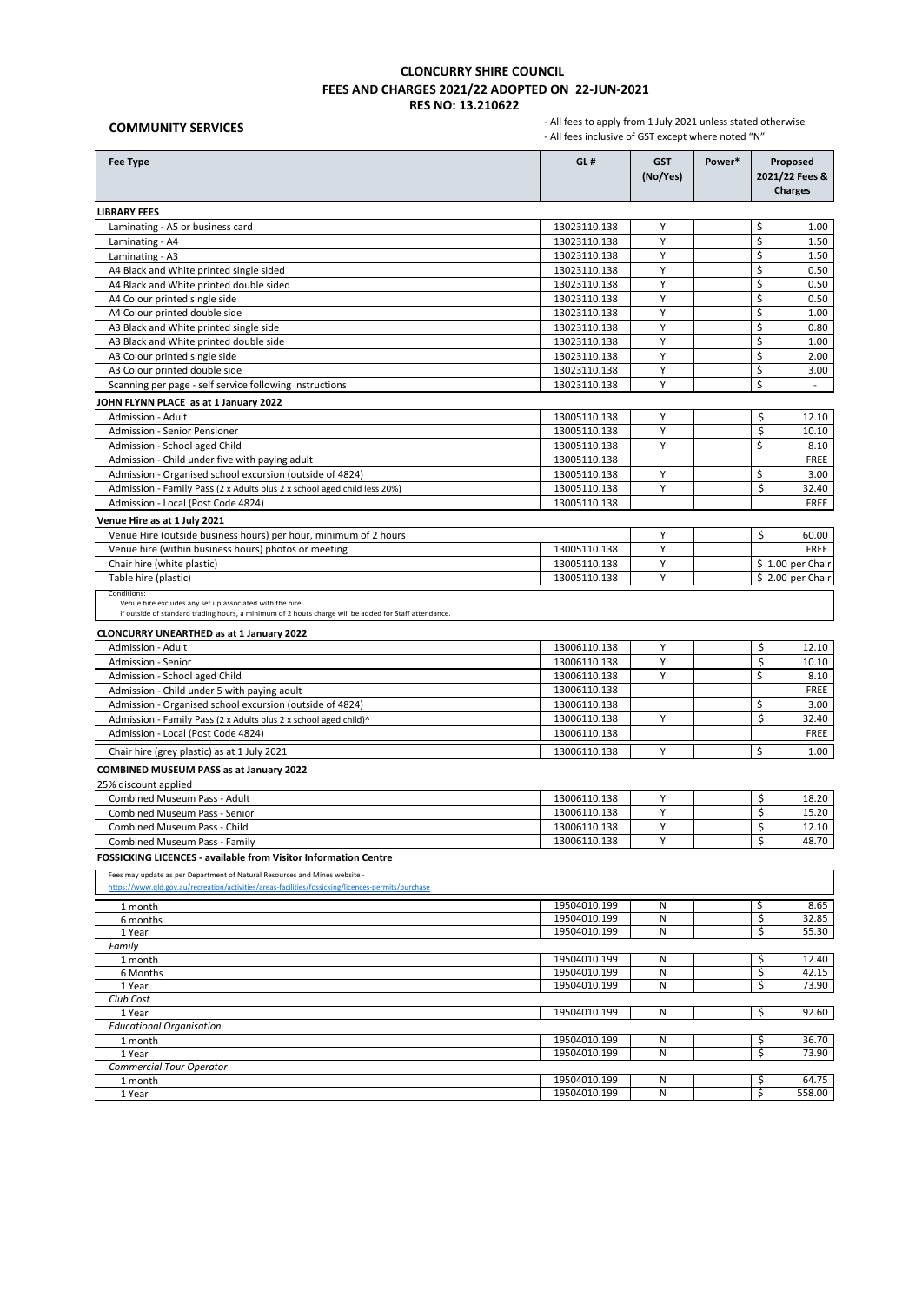**COMMUNITY SERVICES**

| <b>Fee Type</b>                                                                                                                                                   | GL#                          | <b>GST</b><br>(No/Yes) | Power*<br>Proposed<br>2021/22 Fees &<br><b>Charges</b> |                            |
|-------------------------------------------------------------------------------------------------------------------------------------------------------------------|------------------------------|------------------------|--------------------------------------------------------|----------------------------|
| <b>LIBRARY FEES</b>                                                                                                                                               |                              |                        |                                                        |                            |
| Laminating - A5 or business card                                                                                                                                  | 13023110.138                 | Y                      |                                                        | \$<br>1.00                 |
| Laminating - A4                                                                                                                                                   | 13023110.138                 | Y                      |                                                        | \$<br>1.50                 |
| Laminating - A3                                                                                                                                                   | 13023110.138                 | Υ                      |                                                        | \$<br>1.50                 |
| A4 Black and White printed single sided                                                                                                                           | 13023110.138                 | Υ                      |                                                        | \$<br>0.50                 |
| A4 Black and White printed double sided                                                                                                                           | 13023110.138                 | Y                      |                                                        | \$<br>0.50                 |
| A4 Colour printed single side                                                                                                                                     | 13023110.138                 | Υ                      |                                                        | Ś<br>0.50                  |
| A4 Colour printed double side                                                                                                                                     | 13023110.138<br>13023110.138 | Y<br>Υ                 |                                                        | \$<br>1.00<br>\$           |
| A3 Black and White printed single side<br>A3 Black and White printed double side                                                                                  | 13023110.138                 | Υ                      |                                                        | 0.80<br>\$<br>1.00         |
| A3 Colour printed single side                                                                                                                                     | 13023110.138                 | Y                      |                                                        | \$<br>2.00                 |
| A3 Colour printed double side                                                                                                                                     | 13023110.138                 | Υ                      |                                                        | \$<br>3.00                 |
| Scanning per page - self service following instructions                                                                                                           | 13023110.138                 | Υ                      |                                                        | Ś<br>$\sim$                |
| JOHN FLYNN PLACE as at 1 January 2022                                                                                                                             |                              |                        |                                                        |                            |
| Admission - Adult                                                                                                                                                 | 13005110.138                 | Y                      |                                                        | \$<br>12.10                |
| Admission - Senior Pensioner                                                                                                                                      | 13005110.138                 | Y                      |                                                        | \$<br>10.10                |
| Admission - School aged Child                                                                                                                                     | 13005110.138                 | Y                      |                                                        | Ś<br>8.10                  |
| Admission - Child under five with paying adult                                                                                                                    | 13005110.138                 |                        |                                                        | <b>FREE</b>                |
| Admission - Organised school excursion (outside of 4824)                                                                                                          | 13005110.138                 | Y                      |                                                        | \$<br>3.00                 |
| Admission - Family Pass (2 x Adults plus 2 x school aged child less 20%)                                                                                          | 13005110.138                 | Υ                      |                                                        | \$<br>32.40                |
| Admission - Local (Post Code 4824)                                                                                                                                | 13005110.138                 |                        |                                                        | FREE                       |
| Venue Hire as at 1 July 2021                                                                                                                                      |                              |                        |                                                        |                            |
| Venue Hire (outside business hours) per hour, minimum of 2 hours                                                                                                  |                              | Y                      |                                                        | \$<br>60.00                |
| Venue hire (within business hours) photos or meeting                                                                                                              | 13005110.138                 | Υ                      |                                                        | FREE                       |
| Chair hire (white plastic)                                                                                                                                        | 13005110.138<br>13005110.138 | Y<br>Υ                 |                                                        | \$1.00 per Chair           |
| Table hire (plastic)<br>Conditions:                                                                                                                               |                              |                        |                                                        | \$2.00 per Chair           |
| Venue hire excludes any set up associated with the hire.<br>if outside of standard trading hours, a minimum of 2 hours charge will be added for Staff attendance. |                              |                        |                                                        |                            |
| <b>CLONCURRY UNEARTHED as at 1 January 2022</b>                                                                                                                   |                              |                        |                                                        |                            |
| Admission - Adult<br>Admission - Senior                                                                                                                           | 13006110.138<br>13006110.138 | Υ<br>Υ                 |                                                        | \$<br>12.10<br>\$<br>10.10 |
| Admission - School aged Child                                                                                                                                     | 13006110.138                 | Y                      |                                                        | \$<br>8.10                 |
| Admission - Child under 5 with paying adult                                                                                                                       | 13006110.138                 |                        |                                                        | FREE                       |
| Admission - Organised school excursion (outside of 4824)                                                                                                          | 13006110.138                 |                        |                                                        | \$<br>3.00                 |
| Admission - Family Pass (2 x Adults plus 2 x school aged child)^                                                                                                  | 13006110.138                 | Y                      |                                                        | \$<br>32.40                |
| Admission - Local (Post Code 4824)                                                                                                                                | 13006110.138                 |                        |                                                        | FREE                       |
| Chair hire (grey plastic) as at 1 July 2021                                                                                                                       | 13006110.138                 | Y                      |                                                        | Ś<br>1.00                  |
| <b>COMBINED MUSEUM PASS as at January 2022</b>                                                                                                                    |                              |                        |                                                        |                            |
| 25% discount applied                                                                                                                                              |                              |                        |                                                        |                            |
| <b>Combined Museum Pass - Adult</b>                                                                                                                               | 13006110.138                 | Y                      |                                                        | \$<br>18.20                |
| Combined Museum Pass - Senior                                                                                                                                     | 13006110.138                 | Y                      |                                                        | \$<br>15.20                |
| Combined Museum Pass - Child                                                                                                                                      | 13006110.138                 | Υ                      |                                                        | \$<br>12.10                |
| Combined Museum Pass - Family                                                                                                                                     | 13006110.138                 | v                      |                                                        | 48.70                      |
| <b>FOSSICKING LICENCES - available from Visitor Information Centre</b>                                                                                            |                              |                        |                                                        |                            |
| Fees may update as per Department of Natural Resources and Mines website -                                                                                        |                              |                        |                                                        |                            |
| https://www.qld.gov.au/recreation/activities/areas-facilities/fossicking/licences-permits/purchase                                                                |                              |                        |                                                        |                            |
| 1 month                                                                                                                                                           | 19504010.199                 | N                      |                                                        | \$<br>8.65                 |
| 6 months                                                                                                                                                          | 19504010.199                 | Ν                      |                                                        | \$<br>32.85                |
| 1 Year                                                                                                                                                            | 19504010.199                 | N                      |                                                        | \$<br>55.30                |
| Family<br>1 month                                                                                                                                                 | 19504010.199                 | N                      |                                                        | \$<br>12.40                |
| 6 Months                                                                                                                                                          | 19504010.199                 | Ν                      |                                                        | \$<br>42.15                |
| 1 Year                                                                                                                                                            | 19504010.199                 | N                      |                                                        | \$<br>73.90                |
| Club Cost                                                                                                                                                         |                              |                        |                                                        |                            |
| 1 Year                                                                                                                                                            | 19504010.199                 | Ν                      |                                                        | \$<br>92.60                |
| <b>Educational Organisation</b>                                                                                                                                   |                              |                        |                                                        |                            |
| 1 month                                                                                                                                                           | 19504010.199<br>19504010.199 | N<br>Ν                 |                                                        | \$<br>36.70<br>\$<br>73.90 |
| 1 Year<br><b>Commercial Tour Operator</b>                                                                                                                         |                              |                        |                                                        |                            |
| 1 month                                                                                                                                                           | 19504010.199                 | Ν                      |                                                        | 64.75<br>\$                |
| 1 Year                                                                                                                                                            | 19504010.199                 | Ν                      |                                                        | \$<br>558.00               |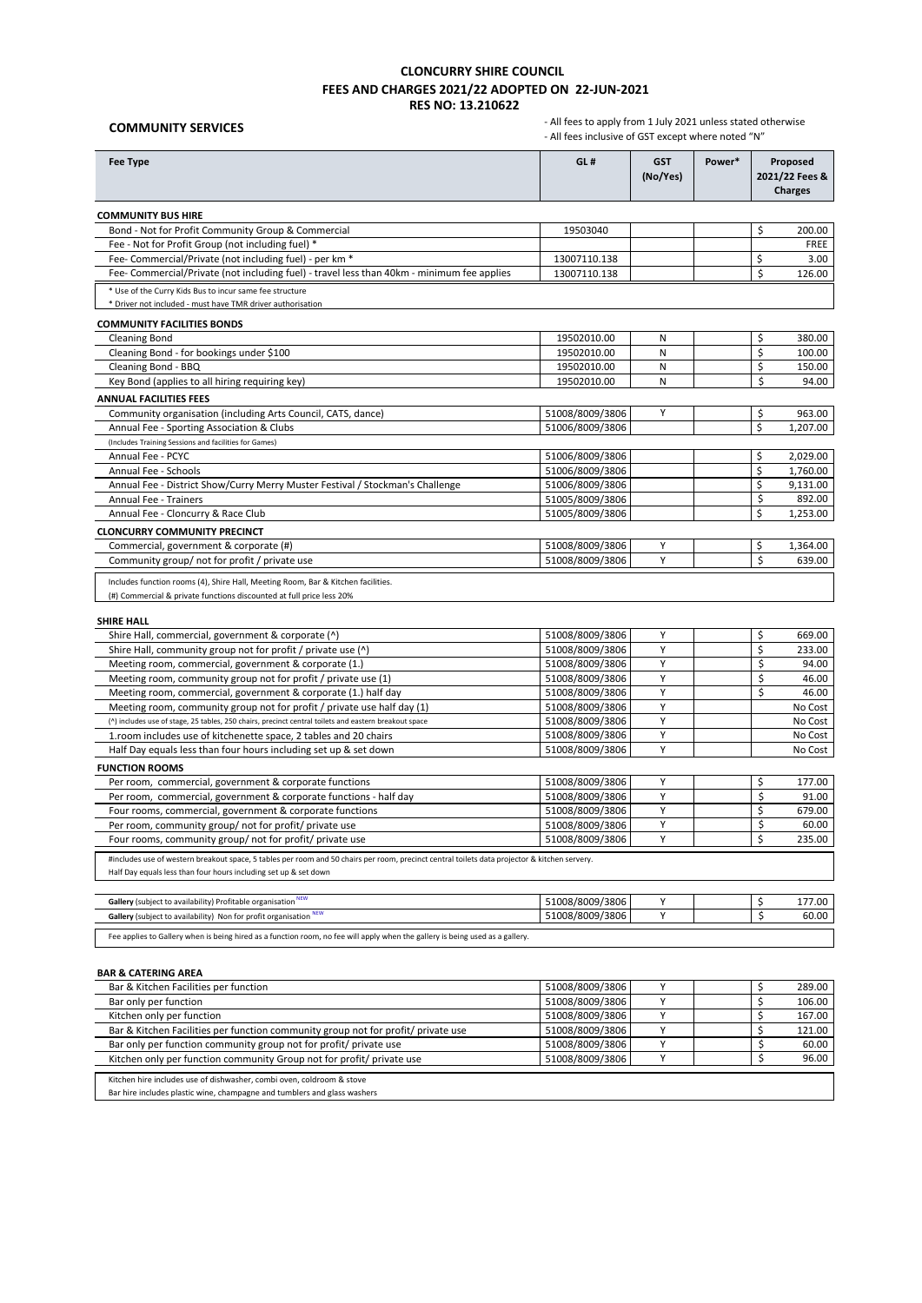# **COMMUNITY SERVICES**

 - All fees to apply from 1 July 2021 unless stated otherwise - All fees inclusive of GST except where noted "N"

| <b>Fee Type</b>                                                                                                                                                                                                   | GL#             | <b>GST</b><br>(No/Yes) | Power* | Proposed<br>2021/22 Fees &<br><b>Charges</b> |             |
|-------------------------------------------------------------------------------------------------------------------------------------------------------------------------------------------------------------------|-----------------|------------------------|--------|----------------------------------------------|-------------|
| <b>COMMUNITY BUS HIRE</b>                                                                                                                                                                                         |                 |                        |        |                                              |             |
| Bond - Not for Profit Community Group & Commercial                                                                                                                                                                | 19503040        |                        |        | Ś.                                           | 200.00      |
| Fee - Not for Profit Group (not including fuel) *                                                                                                                                                                 |                 |                        |        |                                              | <b>FREE</b> |
| Fee- Commercial/Private (not including fuel) - per km *                                                                                                                                                           | 13007110.138    |                        |        | \$                                           | 3.00        |
| Fee- Commercial/Private (not including fuel) - travel less than 40km - minimum fee applies                                                                                                                        | 13007110.138    |                        |        | Ś                                            | 126.00      |
| * Use of the Curry Kids Bus to incur same fee structure<br>* Driver not included - must have TMR driver authorisation                                                                                             |                 |                        |        |                                              |             |
| <b>COMMUNITY FACILITIES BONDS</b>                                                                                                                                                                                 |                 |                        |        |                                              |             |
| <b>Cleaning Bond</b>                                                                                                                                                                                              | 19502010.00     | Ν                      |        | \$                                           | 380.00      |
| Cleaning Bond - for bookings under \$100                                                                                                                                                                          | 19502010.00     | N                      |        | \$                                           | 100.00      |
| Cleaning Bond - BBQ                                                                                                                                                                                               | 19502010.00     | Ν                      |        | \$                                           | 150.00      |
| Key Bond (applies to all hiring requiring key)                                                                                                                                                                    | 19502010.00     | N                      |        | \$                                           | 94.00       |
| <b>ANNUAL FACILITIES FEES</b>                                                                                                                                                                                     |                 |                        |        |                                              |             |
| Community organisation (including Arts Council, CATS, dance)                                                                                                                                                      | 51008/8009/3806 | Y                      |        | \$                                           | 963.00      |
| Annual Fee - Sporting Association & Clubs                                                                                                                                                                         | 51006/8009/3806 |                        |        | \$                                           | 1,207.00    |
| (Includes Training Sessions and facilities for Games)                                                                                                                                                             |                 |                        |        |                                              |             |
| Annual Fee - PCYC                                                                                                                                                                                                 | 51006/8009/3806 |                        |        | \$                                           | 2,029.00    |
| Annual Fee - Schools                                                                                                                                                                                              | 51006/8009/3806 |                        |        | \$                                           | 1,760.00    |
| Annual Fee - District Show/Curry Merry Muster Festival / Stockman's Challenge                                                                                                                                     | 51006/8009/3806 |                        |        | \$                                           | 9,131.00    |
| <b>Annual Fee - Trainers</b>                                                                                                                                                                                      | 51005/8009/3806 |                        |        | \$                                           | 892.00      |
| Annual Fee - Cloncurry & Race Club                                                                                                                                                                                | 51005/8009/3806 |                        |        | \$                                           | 1,253.00    |
| <b>CLONCURRY COMMUNITY PRECINCT</b>                                                                                                                                                                               |                 |                        |        |                                              |             |
| Commercial, government & corporate (#)                                                                                                                                                                            | 51008/8009/3806 | Υ                      |        | \$                                           | 1,364.00    |
| Community group/ not for profit / private use                                                                                                                                                                     | 51008/8009/3806 | Y                      |        | \$                                           | 639.00      |
| Includes function rooms (4), Shire Hall, Meeting Room, Bar & Kitchen facilities.<br>(#) Commercial & private functions discounted at full price less 20%<br><b>SHIRE HALL</b>                                     |                 |                        |        |                                              |             |
| Shire Hall, commercial, government & corporate (^)                                                                                                                                                                | 51008/8009/3806 | Υ                      |        | \$                                           | 669.00      |
| Shire Hall, community group not for profit / private use (^)                                                                                                                                                      | 51008/8009/3806 | Υ                      |        | \$                                           | 233.00      |
| Meeting room, commercial, government & corporate (1.)                                                                                                                                                             | 51008/8009/3806 | Y                      |        | \$                                           | 94.00       |
| Meeting room, community group not for profit / private use (1)                                                                                                                                                    | 51008/8009/3806 | Υ                      |        | \$                                           | 46.00       |
| Meeting room, commercial, government & corporate (1.) half day                                                                                                                                                    | 51008/8009/3806 | Y                      |        | \$                                           | 46.00       |
| Meeting room, community group not for profit / private use half day (1)                                                                                                                                           | 51008/8009/3806 | Υ                      |        |                                              | No Cost     |
| (^) includes use of stage, 25 tables, 250 chairs, precinct central toilets and eastern breakout space                                                                                                             | 51008/8009/3806 | Y                      |        |                                              | No Cost     |
| 1.room includes use of kitchenette space, 2 tables and 20 chairs                                                                                                                                                  | 51008/8009/3806 | Υ                      |        |                                              | No Cost     |
| Half Day equals less than four hours including set up & set down                                                                                                                                                  | 51008/8009/3806 | Y                      |        |                                              | No Cost     |
| <b>FUNCTION ROOMS</b>                                                                                                                                                                                             |                 |                        |        |                                              |             |
| Per room, commercial, government & corporate functions                                                                                                                                                            | 51008/8009/3806 | Υ                      |        | \$                                           | 177.00      |
| Per room, commercial, government & corporate functions - half day                                                                                                                                                 | 51008/8009/3806 | Υ                      |        | \$                                           | 91.00       |
| Four rooms, commercial, government & corporate functions                                                                                                                                                          | 51008/8009/3806 | Y                      |        | \$                                           | 679.00      |
| Per room, community group/ not for profit/ private use                                                                                                                                                            | 51008/8009/3806 | Υ                      |        | \$                                           | 60.00       |
| Four rooms, community group/ not for profit/ private use                                                                                                                                                          | 51008/8009/3806 | Y                      |        | \$                                           | 235.00      |
| #includes use of western breakout space, 5 tables per room and 50 chairs per room, precinct central toilets data projector & kitchen servery.<br>Half Day equals less than four hours including set up & set down |                 |                        |        |                                              |             |
| Gallery (subject to availability) Profitable organisation NEW                                                                                                                                                     | 51008/8009/3806 | Υ                      |        | \$                                           | 177.00      |
| Gallery (subject to availability) Non for profit organisation NEW                                                                                                                                                 | 51008/8009/3806 | Υ                      |        | \$                                           | 60.00       |
| Fee applies to Gallery when is being hired as a function room, no fee will apply when the gallery is being used as a gallery.                                                                                     |                 |                        |        |                                              |             |
|                                                                                                                                                                                                                   |                 |                        |        |                                              |             |
| <b>BAR &amp; CATERING AREA</b>                                                                                                                                                                                    |                 |                        |        |                                              |             |
| Bar & Kitchen Facilities per function                                                                                                                                                                             | 51008/8009/3806 | Υ                      |        | \$                                           | 289.00      |
| Bar only per function                                                                                                                                                                                             | 51008/8009/3806 | Υ                      |        | \$                                           | 106.00      |
| Kitchen only per function                                                                                                                                                                                         | 51008/8009/3806 | Υ                      |        | \$                                           | 167.00      |
| Bar & Kitchen Facilities per function community group not for profit/ private use                                                                                                                                 | 51008/8009/3806 | Υ                      |        | \$                                           | 121.00      |
| Bar only per function community group not for profit/ private use                                                                                                                                                 | 51008/8009/3806 | Υ                      |        | \$                                           | 60.00       |
| Kitchen only per function community Group not for profit/ private use                                                                                                                                             | 51008/8009/3806 | Υ                      |        | \$                                           | 96.00       |
| Kitchen hire includes use of dishwasher, combi oven, coldroom & stove                                                                                                                                             |                 |                        |        |                                              |             |

Bar hire includes plastic wine, champagne and tumblers and glass washers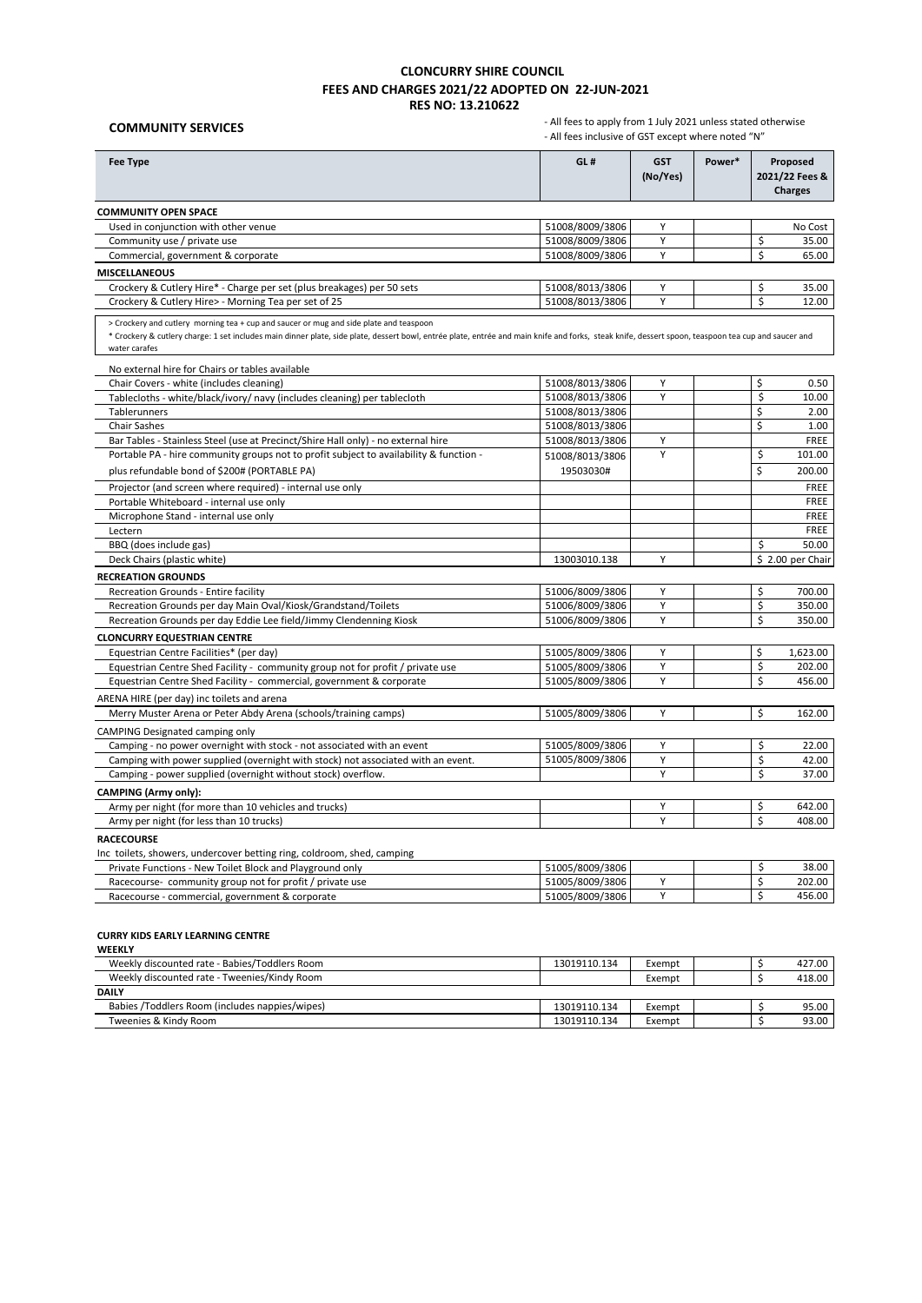# **COMMUNITY SERVICES**

 - All fees to apply from 1 July 2021 unless stated otherwise - All fees inclusive of GST except where noted "N"

| <b>Fee Type</b>                                                                                                                                                                                                                                                                                                | GL#                                | <b>GST</b> | Power* | Proposed              |
|----------------------------------------------------------------------------------------------------------------------------------------------------------------------------------------------------------------------------------------------------------------------------------------------------------------|------------------------------------|------------|--------|-----------------------|
|                                                                                                                                                                                                                                                                                                                |                                    | (No/Yes)   |        | 2021/22 Fees &        |
|                                                                                                                                                                                                                                                                                                                |                                    |            |        | <b>Charges</b>        |
| <b>COMMUNITY OPEN SPACE</b>                                                                                                                                                                                                                                                                                    |                                    |            |        |                       |
| Used in conjunction with other venue                                                                                                                                                                                                                                                                           | 51008/8009/3806                    | Υ          |        | No Cost               |
| Community use / private use                                                                                                                                                                                                                                                                                    | 51008/8009/3806                    | Υ          |        | \$<br>35.00           |
| Commercial, government & corporate                                                                                                                                                                                                                                                                             | 51008/8009/3806                    | Y          |        | Ś<br>65.00            |
| <b>MISCELLANEOUS</b>                                                                                                                                                                                                                                                                                           |                                    |            |        |                       |
| Crockery & Cutlery Hire* - Charge per set (plus breakages) per 50 sets                                                                                                                                                                                                                                         | 51008/8013/3806                    | Υ          |        | \$<br>35.00           |
| Crockery & Cutlery Hire> - Morning Tea per set of 25                                                                                                                                                                                                                                                           | 51008/8013/3806                    | Y          |        | \$<br>12.00           |
| > Crockery and cutlery morning tea + cup and saucer or mug and side plate and teaspoon<br>* Crockery & cutlery charge: 1 set includes main dinner plate, side plate, dessert bowl, entrée plate, entrée and main knife and forks, steak knife, dessert spoon, teaspoon tea cup and saucer and<br>water carafes |                                    |            |        |                       |
| No external hire for Chairs or tables available                                                                                                                                                                                                                                                                |                                    |            |        |                       |
| Chair Covers - white (includes cleaning)                                                                                                                                                                                                                                                                       | 51008/8013/3806                    | Υ          |        | \$<br>0.50            |
| Tablecloths - white/black/ivory/ navy (includes cleaning) per tablecloth                                                                                                                                                                                                                                       | 51008/8013/3806                    | Y          |        | $\zeta$<br>10.00      |
| Tablerunners                                                                                                                                                                                                                                                                                                   | 51008/8013/3806                    |            |        | \$<br>2.00            |
| <b>Chair Sashes</b>                                                                                                                                                                                                                                                                                            | 51008/8013/3806                    |            |        | \$<br>1.00            |
| Bar Tables - Stainless Steel (use at Precinct/Shire Hall only) - no external hire                                                                                                                                                                                                                              | 51008/8013/3806                    | Υ          |        | FREE                  |
| Portable PA - hire community groups not to profit subject to availability & function -                                                                                                                                                                                                                         | 51008/8013/3806                    | Υ          |        | \$<br>101.00          |
| plus refundable bond of \$200# (PORTABLE PA)                                                                                                                                                                                                                                                                   | 19503030#                          |            |        | \$<br>200.00          |
| Projector (and screen where required) - internal use only                                                                                                                                                                                                                                                      |                                    |            |        | FREE                  |
| Portable Whiteboard - internal use only                                                                                                                                                                                                                                                                        |                                    |            |        | FREE                  |
| Microphone Stand - internal use only                                                                                                                                                                                                                                                                           |                                    |            |        | FREE                  |
| Lectern                                                                                                                                                                                                                                                                                                        |                                    |            |        | FREE                  |
| BBQ (does include gas)                                                                                                                                                                                                                                                                                         |                                    |            |        | \$<br>50.00           |
| Deck Chairs (plastic white)                                                                                                                                                                                                                                                                                    | 13003010.138                       | Υ          |        | \$2.00 per Chair      |
| <b>RECREATION GROUNDS</b>                                                                                                                                                                                                                                                                                      |                                    |            |        |                       |
| Recreation Grounds - Entire facility                                                                                                                                                                                                                                                                           | 51006/8009/3806                    | Y          |        | \$<br>700.00          |
| Recreation Grounds per day Main Oval/Kiosk/Grandstand/Toilets                                                                                                                                                                                                                                                  | 51006/8009/3806                    | Y          |        | \$<br>350.00          |
| Recreation Grounds per day Eddie Lee field/Jimmy Clendenning Kiosk                                                                                                                                                                                                                                             | 51006/8009/3806                    | Υ          |        | Ś<br>350.00           |
| <b>CLONCURRY EQUESTRIAN CENTRE</b>                                                                                                                                                                                                                                                                             |                                    |            |        |                       |
| Equestrian Centre Facilities* (per day)                                                                                                                                                                                                                                                                        | 51005/8009/3806                    | Y          |        | Ś<br>1,623.00         |
| Equestrian Centre Shed Facility - community group not for profit / private use                                                                                                                                                                                                                                 | 51005/8009/3806                    | Υ          |        | \$<br>202.00          |
| Equestrian Centre Shed Facility - commercial, government & corporate                                                                                                                                                                                                                                           | 51005/8009/3806                    | Y          |        | \$<br>456.00          |
| ARENA HIRE (per day) inc toilets and arena                                                                                                                                                                                                                                                                     |                                    |            |        |                       |
| Merry Muster Arena or Peter Abdy Arena (schools/training camps)                                                                                                                                                                                                                                                | 51005/8009/3806                    | Y          |        | Ś<br>162.00           |
| CAMPING Designated camping only                                                                                                                                                                                                                                                                                |                                    |            |        |                       |
| Camping - no power overnight with stock - not associated with an event                                                                                                                                                                                                                                         | 51005/8009/3806                    | Υ          |        | \$<br>22.00           |
| Camping with power supplied (overnight with stock) not associated with an event.                                                                                                                                                                                                                               | 51005/8009/3806                    | Υ          |        | \$<br>42.00           |
| Camping - power supplied (overnight without stock) overflow.                                                                                                                                                                                                                                                   |                                    | Y          |        | \$<br>37.00           |
| <b>CAMPING (Army only):</b>                                                                                                                                                                                                                                                                                    |                                    |            |        |                       |
| Army per night (for more than 10 vehicles and trucks)                                                                                                                                                                                                                                                          |                                    | Υ          |        | \$<br>642.00          |
| Army per night (for less than 10 trucks)                                                                                                                                                                                                                                                                       |                                    | Υ          |        | Ś<br>408.00           |
| <b>RACECOURSE</b>                                                                                                                                                                                                                                                                                              |                                    |            |        |                       |
|                                                                                                                                                                                                                                                                                                                |                                    |            |        |                       |
| Inc toilets, showers, undercover betting ring, coldroom, shed, camping                                                                                                                                                                                                                                         |                                    |            |        | \$                    |
| Private Functions - New Toilet Block and Playground only                                                                                                                                                                                                                                                       | 51005/8009/3806<br>51005/8009/3806 | Υ          |        | 38.00<br>\$<br>202.00 |
| Racecourse- community group not for profit / private use                                                                                                                                                                                                                                                       | 51005/8009/3806                    | Y          |        | Ś<br>456.00           |
| Racecourse - commercial, government & corporate                                                                                                                                                                                                                                                                |                                    |            |        |                       |

### **CURRY KIDS EARLY LEARNING CENTRE**

| <b>WEEKLY</b>                                  |              |        |  |        |
|------------------------------------------------|--------------|--------|--|--------|
| Weekly discounted rate - Babies/Toddlers Room  | 13019110.134 | Exempt |  | 427.00 |
| Weekly discounted rate - Tweenies/Kindy Room   |              | Exempt |  | 418.00 |
| <b>DAILY</b>                                   |              |        |  |        |
| Babies /Toddlers Room (includes nappies/wipes) | 13019110.134 | Exempt |  | 95.00  |
| Tweenies & Kindy Room                          | 13019110.134 | Exempt |  | 93.00  |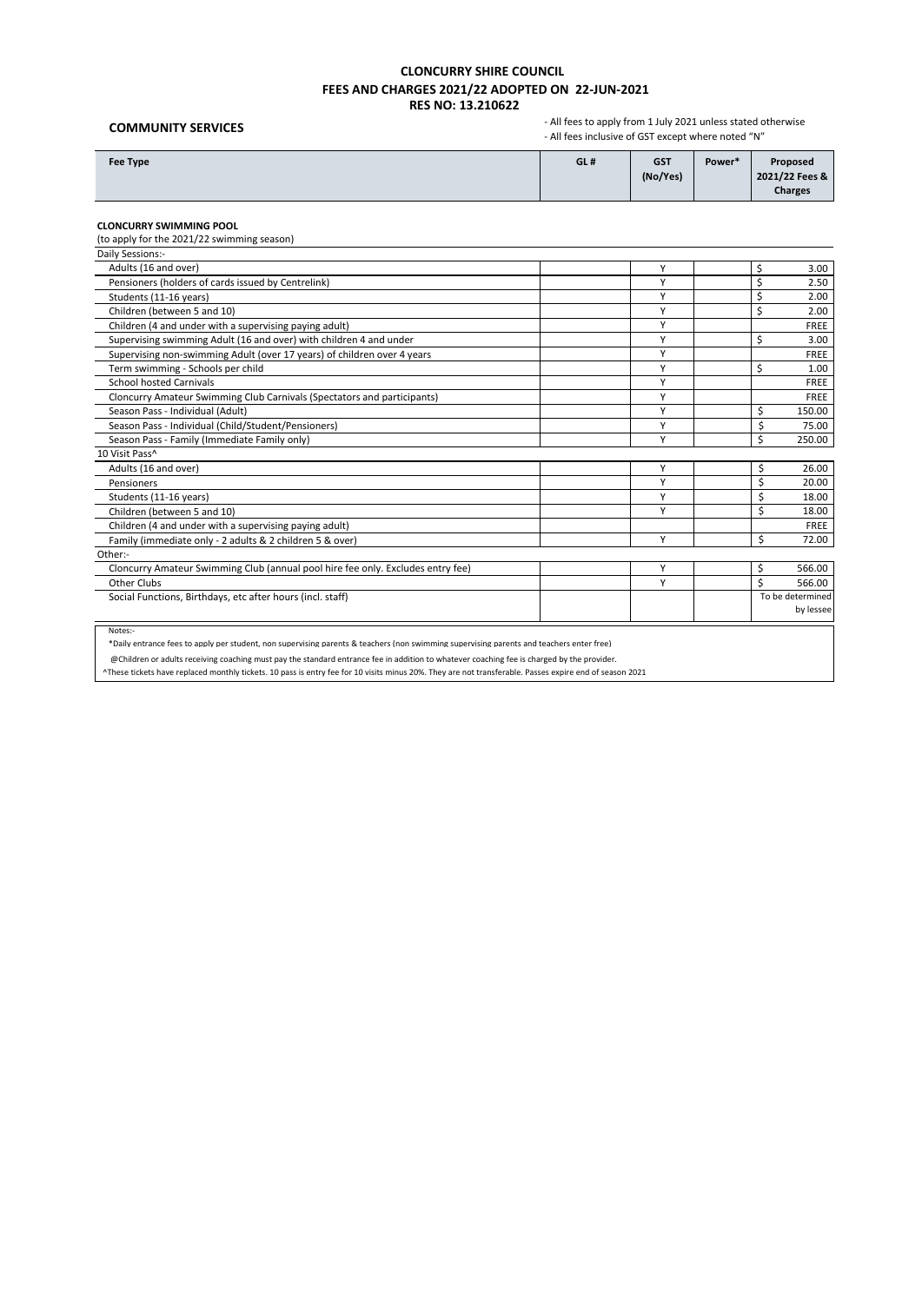## **COMMUNITY SERVICES**

 - All fees to apply from 1 July 2021 unless stated otherwise - All fees inclusive of GST except where noted "N"

| Fee Type | GL# | <b>GST</b><br>(No/Yes) | Power* | Proposed<br>2021/22 Fees &<br><b>Charges</b> |
|----------|-----|------------------------|--------|----------------------------------------------|
|----------|-----|------------------------|--------|----------------------------------------------|

### **CLONCURRY SWIMMING POOL**

(to apply for the 2021/22 swimming season)

| Daily Sessions:-                                                                |              |                  |
|---------------------------------------------------------------------------------|--------------|------------------|
| Adults (16 and over)                                                            | Υ            | \$<br>3.00       |
| Pensioners (holders of cards issued by Centrelink)                              | $\checkmark$ | 2.50             |
| Students (11-16 years)                                                          | Υ            | 2.00             |
| Children (between 5 and 10)                                                     | Υ            | 2.00             |
| Children (4 and under with a supervising paying adult)                          | Υ            | <b>FREE</b>      |
| Supervising swimming Adult (16 and over) with children 4 and under              | v            | Ś<br>3.00        |
| Supervising non-swimming Adult (over 17 years) of children over 4 years         | Υ            | <b>FREE</b>      |
| Term swimming - Schools per child                                               | Υ            | Ś<br>1.00        |
| <b>School hosted Carnivals</b>                                                  | $\checkmark$ | FREE             |
| Cloncurry Amateur Swimming Club Carnivals (Spectators and participants)         | Υ            | FREE             |
| Season Pass - Individual (Adult)                                                | Υ            | Ś<br>150.00      |
| Season Pass - Individual (Child/Student/Pensioners)                             | v            | ς<br>75.00       |
| Season Pass - Family (Immediate Family only)                                    | $\checkmark$ | ς<br>250.00      |
| 10 Visit Pass^                                                                  |              |                  |
| Adults (16 and over)                                                            | Υ            | \$<br>26.00      |
| Pensioners                                                                      | Υ            | \$<br>20.00      |
| Students (11-16 years)                                                          | Υ            | Ś<br>18.00       |
| Children (between 5 and 10)                                                     | v            | Ś<br>18.00       |
| Children (4 and under with a supervising paying adult)                          |              | <b>FREE</b>      |
| Family (immediate only - 2 adults & 2 children 5 & over)                        | Υ            | Ś<br>72.00       |
| Other:-                                                                         |              |                  |
| Cloncurry Amateur Swimming Club (annual pool hire fee only. Excludes entry fee) | Y            | \$<br>566.00     |
| Other Clubs                                                                     | Υ            | Ś<br>566.00      |
| Social Functions, Birthdays, etc after hours (incl. staff)                      |              | To be determined |
|                                                                                 |              | by lessee        |

Notes:-

\*Daily entrance fees to apply per student, non supervising parents & teachers (non swimming supervising parents and teachers enter free)

@Children or adults receiving coaching must pay the standard entrance fee in addition to whatever coaching fee is charged by the provider.

^These tickets have replaced monthly tickets. 10 pass is entry fee for 10 visits minus 20%. They are not transferable. Passes expire end of season 2021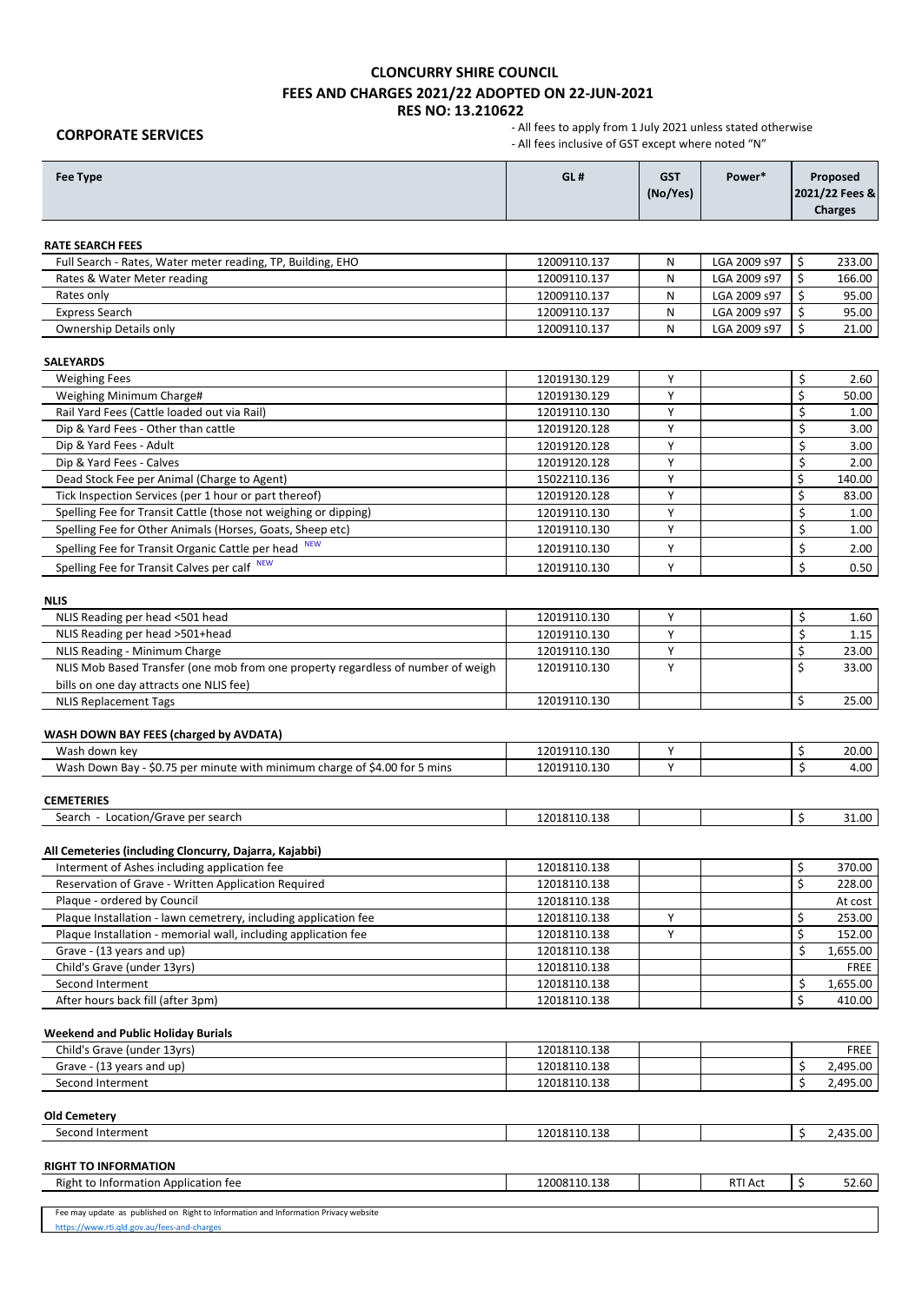**CORPORATE SERVICES**

| <b>Fee Type</b>                                                                     | GL#                          | <b>GST</b><br>(No/Yes) | Power*       |          | Proposed<br>2021/22 Fees &<br><b>Charges</b> |
|-------------------------------------------------------------------------------------|------------------------------|------------------------|--------------|----------|----------------------------------------------|
| <b>RATE SEARCH FEES</b>                                                             |                              |                        |              |          |                                              |
| Full Search - Rates, Water meter reading, TP, Building, EHO                         | 12009110.137                 | N                      | LGA 2009 s97 | Ś        | 233.00                                       |
| Rates & Water Meter reading                                                         | 12009110.137                 | N                      | LGA 2009 s97 | \$       | 166.00                                       |
| Rates only                                                                          | 12009110.137                 | Ν                      | LGA 2009 s97 | \$       | 95.00                                        |
| <b>Express Search</b>                                                               | 12009110.137                 | Ν                      | LGA 2009 s97 | \$       | 95.00                                        |
| Ownership Details only                                                              | 12009110.137                 | N                      | LGA 2009 s97 | \$       | 21.00                                        |
| <b>SALEYARDS</b>                                                                    |                              |                        |              |          |                                              |
| <b>Weighing Fees</b>                                                                | 12019130.129                 | Υ                      |              | \$       | 2.60                                         |
| Weighing Minimum Charge#                                                            | 12019130.129                 | Y                      |              | \$       | 50.00                                        |
| Rail Yard Fees (Cattle loaded out via Rail)                                         | 12019110.130                 | Υ                      |              | \$       | 1.00                                         |
| Dip & Yard Fees - Other than cattle                                                 | 12019120.128                 | Υ                      |              | \$       | 3.00                                         |
| Dip & Yard Fees - Adult                                                             | 12019120.128                 | Y                      |              | \$       | 3.00                                         |
| Dip & Yard Fees - Calves                                                            | 12019120.128                 | Υ                      |              | \$       | 2.00                                         |
| Dead Stock Fee per Animal (Charge to Agent)                                         | 15022110.136                 | Υ                      |              | \$       | 140.00                                       |
| Tick Inspection Services (per 1 hour or part thereof)                               | 12019120.128                 | Υ                      |              | \$       | 83.00                                        |
| Spelling Fee for Transit Cattle (those not weighing or dipping)                     | 12019110.130                 | Y                      |              | \$       | 1.00                                         |
| Spelling Fee for Other Animals (Horses, Goats, Sheep etc)                           | 12019110.130                 | Y                      |              | \$       | 1.00                                         |
| Spelling Fee for Transit Organic Cattle per head                                    | 12019110.130                 | Y                      |              | \$       | 2.00                                         |
| Spelling Fee for Transit Calves per calf NEW                                        | 12019110.130                 | Y                      |              | \$       | 0.50                                         |
| <b>NLIS</b>                                                                         |                              |                        |              |          |                                              |
| NLIS Reading per head <501 head                                                     | 12019110.130                 | Y                      |              | \$       | 1.60                                         |
| NLIS Reading per head >501+head                                                     | 12019110.130                 | Y                      |              | \$       | 1.15                                         |
| NLIS Reading - Minimum Charge                                                       | 12019110.130                 | Υ                      |              | \$       | 23.00                                        |
| NLIS Mob Based Transfer (one mob from one property regardless of number of weigh    | 12019110.130                 | Y                      |              | Ś        | 33.00                                        |
| bills on one day attracts one NLIS fee)                                             |                              |                        |              |          |                                              |
| <b>NLIS Replacement Tags</b>                                                        | 12019110.130                 |                        |              | Ś        | 25.00                                        |
| WASH DOWN BAY FEES (charged by AVDATA)                                              |                              |                        |              |          |                                              |
| Wash down key                                                                       | 12019110.130                 | Υ                      |              | \$       | 20.00                                        |
| Wash Down Bay - \$0.75 per minute with minimum charge of \$4.00 for 5 mins          | 12019110.130                 | Y                      |              | Ś        | 4.00                                         |
| <b>CEMETERIES</b>                                                                   |                              |                        |              |          |                                              |
| Search - Location/Grave per search                                                  | 12018110.138                 |                        |              | \$       | 31.00                                        |
|                                                                                     |                              |                        |              |          |                                              |
| All Cemeteries (including Cloncurry, Dajarra, Kajabbi)                              |                              |                        |              |          |                                              |
| Interment of Ashes including application fee                                        | 12018110.138                 |                        |              | \$       | 370.00                                       |
| Reservation of Grave - Written Application Required                                 | 12018110.138                 |                        |              | Ś        | 228.00                                       |
| Plaque - ordered by Council                                                         | 12018110.138                 |                        |              |          | At cost                                      |
| Plaque Installation - lawn cemetrery, including application fee                     | 12018110.138                 | Y                      |              | \$       | 253.00                                       |
| Plaque Installation - memorial wall, including application fee                      | 12018110.138                 | Υ                      |              | \$       | 152.00                                       |
| Grave - (13 years and up)                                                           | 12018110.138                 |                        |              | \$       | 1,655.00                                     |
| Child's Grave (under 13yrs)                                                         | 12018110.138                 |                        |              |          | <b>FREE</b>                                  |
| Second Interment<br>After hours back fill (after 3pm)                               | 12018110.138<br>12018110.138 |                        |              | \$<br>\$ | 1,655.00<br>410.00                           |
|                                                                                     |                              |                        |              |          |                                              |
| <b>Weekend and Public Holiday Burials</b>                                           |                              |                        |              |          |                                              |
| Child's Grave (under 13yrs)                                                         | 12018110.138                 |                        |              |          | <b>FREE</b>                                  |
| Grave - (13 years and up)                                                           | 12018110.138                 |                        |              | \$       | 2,495.00                                     |
| Second Interment                                                                    | 12018110.138                 |                        |              | \$       | 2,495.00                                     |
| <b>Old Cemetery</b>                                                                 |                              |                        |              |          |                                              |
| Second Interment                                                                    | 12018110.138                 |                        |              | \$       | 2,435.00                                     |
| <b>RIGHT TO INFORMATION</b>                                                         |                              |                        |              |          |                                              |
| Right to Information Application fee                                                | 12008110.138                 |                        | RTI Act      | \$       | 52.60                                        |
| Fee may update as published on Right to Information and Information Privacy website |                              |                        |              |          |                                              |
| https://www.rti.qld.gov.au/fees-and-charges                                         |                              |                        |              |          |                                              |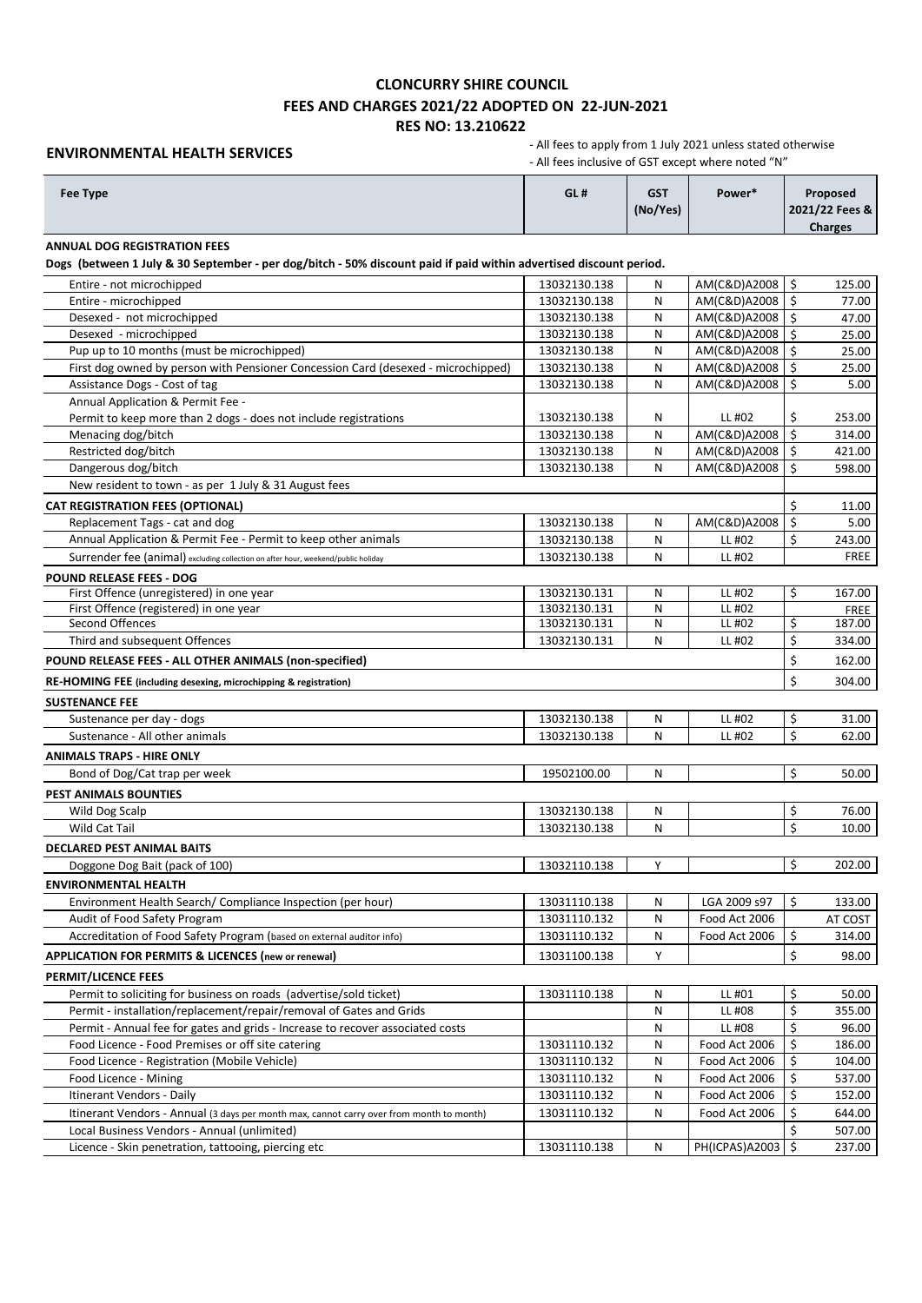### **ENVIRONMENTAL HEALTH SERVICES**

| Fee Type                                                                                                                                                  | GL#                          | <b>GST</b><br>(No/Yes) | Power*                       | Proposed<br>2021/22 Fees &<br><b>Charges</b> |
|-----------------------------------------------------------------------------------------------------------------------------------------------------------|------------------------------|------------------------|------------------------------|----------------------------------------------|
| <b>ANNUAL DOG REGISTRATION FEES</b><br>Dogs (between 1 July & 30 September - per dog/bitch - 50% discount paid if paid within advertised discount period. |                              |                        |                              |                                              |
|                                                                                                                                                           |                              |                        |                              |                                              |
| Entire - not microchipped                                                                                                                                 | 13032130.138<br>13032130.138 | Ν<br>N                 | AM(C&D)A2008                 | \$<br>125.00<br>\$                           |
| Entire - microchipped<br>Desexed - not microchipped                                                                                                       | 13032130.138                 | N                      | AM(C&D)A2008<br>AM(C&D)A2008 | 77.00<br>Ś                                   |
| Desexed - microchipped                                                                                                                                    | 13032130.138                 | Ν                      | AM(C&D)A2008                 | 47.00<br>Ŝ.<br>25.00                         |
| Pup up to 10 months (must be microchipped)                                                                                                                | 13032130.138                 | Ν                      | AM(C&D)A2008                 | \$<br>25.00                                  |
| First dog owned by person with Pensioner Concession Card (desexed - microchipped)                                                                         | 13032130.138                 | Ν                      | AM(C&D)A2008                 | $\mathsf{S}$<br>25.00                        |
| Assistance Dogs - Cost of tag                                                                                                                             | 13032130.138                 | Ν                      | AM(C&D)A2008                 | Ś.<br>5.00                                   |
| Annual Application & Permit Fee -                                                                                                                         |                              |                        |                              |                                              |
| Permit to keep more than 2 dogs - does not include registrations                                                                                          | 13032130.138                 | Ν                      | LL #02                       | \$<br>253.00                                 |
| Menacing dog/bitch                                                                                                                                        | 13032130.138                 | Ν                      | AM(C&D)A2008                 | \$<br>314.00                                 |
| Restricted dog/bitch                                                                                                                                      | 13032130.138                 | Ν                      | AM(C&D)A2008                 | \$<br>421.00                                 |
| Dangerous dog/bitch                                                                                                                                       | 13032130.138                 | Ν                      | AM(C&D)A2008                 | Ś<br>598.00                                  |
| New resident to town - as per 1 July & 31 August fees                                                                                                     |                              |                        |                              |                                              |
| <b>CAT REGISTRATION FEES (OPTIONAL)</b>                                                                                                                   |                              |                        |                              | Ś.<br>11.00                                  |
| Replacement Tags - cat and dog                                                                                                                            | 13032130.138                 | Ν                      | AM(C&D)A2008                 | \$<br>5.00                                   |
| Annual Application & Permit Fee - Permit to keep other animals                                                                                            | 13032130.138                 | Ν                      | LL #02                       | \$<br>243.00                                 |
| Surrender fee (animal) excluding collection on after hour, weekend/public holiday                                                                         | 13032130.138                 | N                      | LL #02                       | <b>FREE</b>                                  |
| <b>POUND RELEASE FEES - DOG</b>                                                                                                                           |                              |                        |                              |                                              |
| First Offence (unregistered) in one year                                                                                                                  | 13032130.131                 | Ν                      | LL #02                       | \$<br>167.00                                 |
| First Offence (registered) in one year                                                                                                                    | 13032130.131                 | N                      | LL #02                       | <b>FREE</b>                                  |
| <b>Second Offences</b>                                                                                                                                    | 13032130.131                 | N                      | LL #02                       | \$<br>187.00                                 |
| Third and subsequent Offences                                                                                                                             | 13032130.131                 | N                      | LL #02                       | \$<br>334.00                                 |
| POUND RELEASE FEES - ALL OTHER ANIMALS (non-specified)                                                                                                    |                              |                        |                              | \$<br>162.00                                 |
| RE-HOMING FEE (including desexing, microchipping & registration)                                                                                          |                              |                        |                              | Ś<br>304.00                                  |
| <b>SUSTENANCE FEE</b>                                                                                                                                     |                              |                        |                              |                                              |
| Sustenance per day - dogs                                                                                                                                 | 13032130.138                 | Ν                      | LL #02                       | \$<br>31.00                                  |
| Sustenance - All other animals                                                                                                                            | 13032130.138                 | Ν                      | LL #02                       | \$<br>62.00                                  |
| <b>ANIMALS TRAPS - HIRE ONLY</b>                                                                                                                          |                              |                        |                              |                                              |
| Bond of Dog/Cat trap per week                                                                                                                             | 19502100.00                  | Ν                      |                              | \$<br>50.00                                  |
| <b>PEST ANIMALS BOUNTIES</b>                                                                                                                              |                              |                        |                              |                                              |
| Wild Dog Scalp                                                                                                                                            | 13032130.138                 | Ν                      |                              | \$<br>76.00                                  |
| <b>Wild Cat Tail</b>                                                                                                                                      | 13032130.138                 | Ν                      |                              | Ś<br>10.00                                   |
| DECLARED PEST ANIMAL BAITS                                                                                                                                |                              |                        |                              |                                              |
| Doggone Dog Bait (pack of 100)                                                                                                                            | 13032110.138                 | Y                      |                              | \$<br>202.00                                 |
| <b>ENVIRONMENTAL HEALTH</b>                                                                                                                               |                              |                        |                              |                                              |
| Environment Health Search/ Compliance Inspection (per hour)                                                                                               | 13031110.138                 | Ν                      | LGA 2009 s97                 | \$<br>133.00                                 |
| Audit of Food Safety Program                                                                                                                              | 13031110.132                 | Ν                      | Food Act 2006                | AT COST                                      |
| Accreditation of Food Safety Program (based on external auditor info)                                                                                     | 13031110.132                 | Ν                      | Food Act 2006                | \$<br>314.00                                 |
| APPLICATION FOR PERMITS & LICENCES (new or renewal)                                                                                                       | 13031100.138                 | Y                      |                              | \$<br>98.00                                  |
| <b>PERMIT/LICENCE FEES</b>                                                                                                                                |                              |                        |                              |                                              |
| Permit to soliciting for business on roads (advertise/sold ticket)                                                                                        | 13031110.138                 | Ν                      | LL #01                       | \$<br>50.00                                  |
| Permit - installation/replacement/repair/removal of Gates and Grids                                                                                       |                              | Ν                      | LL #08                       | \$<br>355.00                                 |
| Permit - Annual fee for gates and grids - Increase to recover associated costs                                                                            |                              | Ν                      | LL #08                       | \$<br>96.00                                  |
| Food Licence - Food Premises or off site catering                                                                                                         | 13031110.132                 | Ν                      | Food Act 2006                | \$<br>186.00                                 |
| Food Licence - Registration (Mobile Vehicle)                                                                                                              | 13031110.132                 | Ν                      | Food Act 2006                | \$<br>104.00                                 |
| Food Licence - Mining                                                                                                                                     | 13031110.132                 | Ν                      | Food Act 2006                | \$<br>537.00                                 |
| Itinerant Vendors - Daily                                                                                                                                 | 13031110.132                 | Ν                      | Food Act 2006                | \$<br>152.00                                 |
| Itinerant Vendors - Annual (3 days per month max, cannot carry over from month to month)                                                                  | 13031110.132                 | Ν                      | Food Act 2006                | \$<br>644.00                                 |
| Local Business Vendors - Annual (unlimited)                                                                                                               |                              |                        |                              | \$<br>507.00                                 |
| Licence - Skin penetration, tattooing, piercing etc                                                                                                       | 13031110.138                 | Ν                      | PH(ICPAS)A2003               | $\mathsf{S}$<br>237.00                       |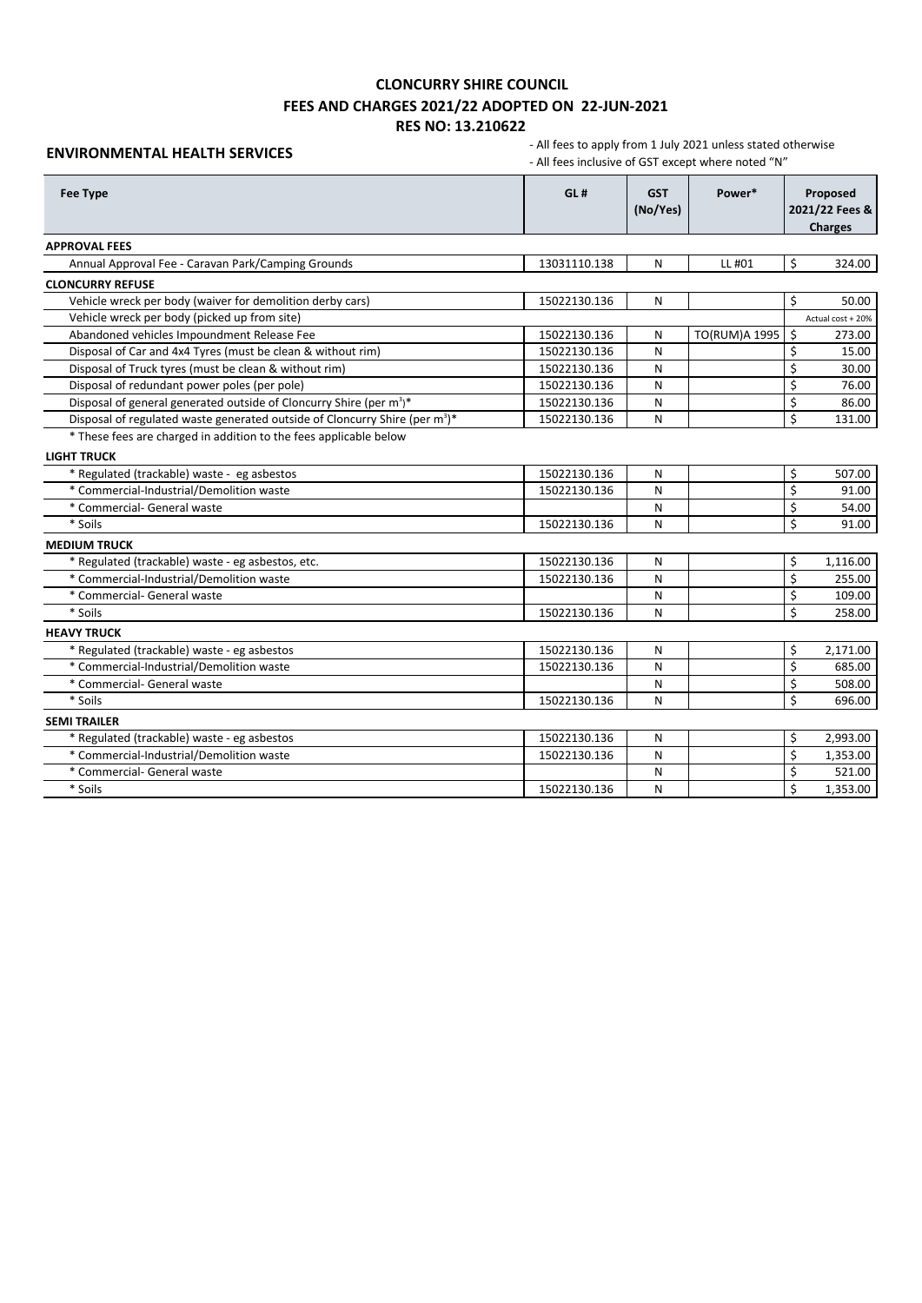### **ENVIRONMENTAL HEALTH SERVICES**

| <b>Fee Type</b>                                                                         | GL#          | <b>GST</b><br>(No/Yes) | Power*        |    | Proposed<br>2021/22 Fees &<br><b>Charges</b> |
|-----------------------------------------------------------------------------------------|--------------|------------------------|---------------|----|----------------------------------------------|
| <b>APPROVAL FEES</b>                                                                    |              |                        |               |    |                                              |
| Annual Approval Fee - Caravan Park/Camping Grounds                                      | 13031110.138 | N                      | LL #01        | \$ | 324.00                                       |
| <b>CLONCURRY REFUSE</b>                                                                 |              |                        |               |    |                                              |
| Vehicle wreck per body (waiver for demolition derby cars)                               | 15022130.136 | N                      |               | Ś  | 50.00                                        |
| Vehicle wreck per body (picked up from site)                                            |              |                        |               |    | Actual cost + 20%                            |
| Abandoned vehicles Impoundment Release Fee                                              | 15022130.136 | N                      | TO(RUM)A 1995 | \$ | 273.00                                       |
| Disposal of Car and 4x4 Tyres (must be clean & without rim)                             | 15022130.136 | N                      |               | Ś  | 15.00                                        |
| Disposal of Truck tyres (must be clean & without rim)                                   | 15022130.136 | N                      |               | Ś  | 30.00                                        |
| Disposal of redundant power poles (per pole)                                            | 15022130.136 | N                      |               | Ś  | 76.00                                        |
| Disposal of general generated outside of Cloncurry Shire (per m <sup>3</sup> )*         | 15022130.136 | N                      |               | Ś  | 86.00                                        |
| Disposal of regulated waste generated outside of Cloncurry Shire (per m <sup>3</sup> )* | 15022130.136 | N                      |               | Ś  | 131.00                                       |
| * These fees are charged in addition to the fees applicable below                       |              |                        |               |    |                                              |
| <b>LIGHT TRUCK</b>                                                                      |              |                        |               |    |                                              |
| * Regulated (trackable) waste - eg asbestos                                             | 15022130.136 | N                      |               | \$ | 507.00                                       |
| * Commercial-Industrial/Demolition waste                                                | 15022130.136 | N                      |               | Ś  | 91.00                                        |
| * Commercial- General waste                                                             |              | N                      |               | \$ | 54.00                                        |
| * Soils                                                                                 | 15022130.136 | N                      |               | \$ | 91.00                                        |
| <b>MEDIUM TRUCK</b>                                                                     |              |                        |               |    |                                              |
| * Regulated (trackable) waste - eg asbestos, etc.                                       | 15022130.136 | N                      |               | \$ | 1,116.00                                     |
| * Commercial-Industrial/Demolition waste                                                | 15022130.136 | N                      |               | \$ | 255.00                                       |
| * Commercial- General waste                                                             |              | N                      |               | Ś  | 109.00                                       |
| * Soils                                                                                 | 15022130.136 | N                      |               | Ś  | 258.00                                       |
| <b>HEAVY TRUCK</b>                                                                      |              |                        |               |    |                                              |
| * Regulated (trackable) waste - eg asbestos                                             | 15022130.136 | N                      |               | \$ | 2,171.00                                     |
| * Commercial-Industrial/Demolition waste                                                | 15022130.136 | N                      |               | Ś  | 685.00                                       |
| * Commercial- General waste                                                             |              | N                      |               | Ś  | 508.00                                       |
| * Soils                                                                                 | 15022130.136 | N                      |               | Ś  | 696.00                                       |
| <b>SEMI TRAILER</b>                                                                     |              |                        |               |    |                                              |
| * Regulated (trackable) waste - eg asbestos                                             | 15022130.136 | N                      |               | \$ | 2,993.00                                     |
| * Commercial-Industrial/Demolition waste                                                | 15022130.136 | N                      |               | Ś  | 1,353.00                                     |
| * Commercial- General waste                                                             |              | N                      |               | \$ | 521.00                                       |
| * Soils                                                                                 | 15022130.136 | N                      |               | Ś  | 1,353.00                                     |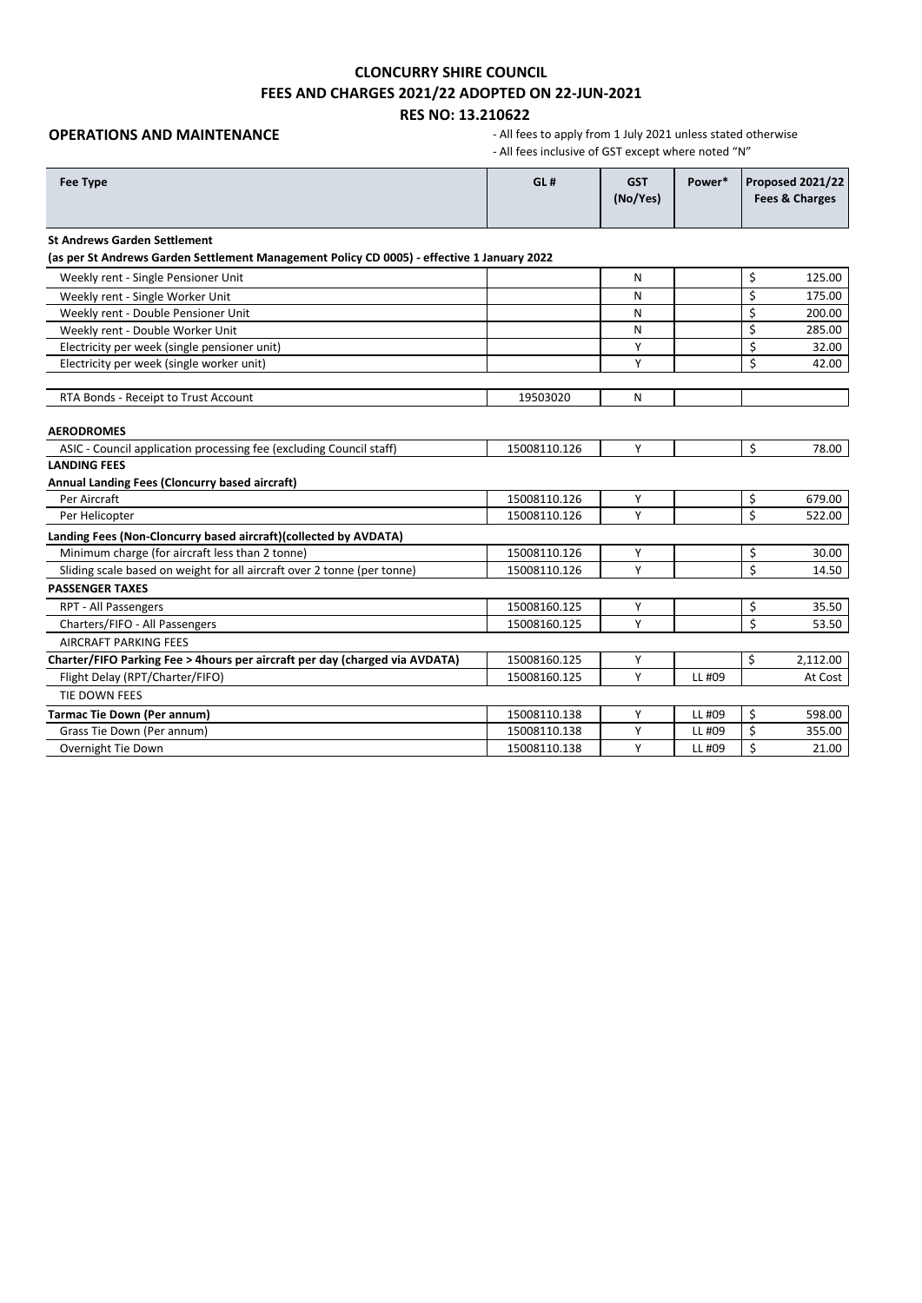# **CLONCURRY SHIRE COUNCIL FEES AND CHARGES 2021/22 ADOPTED ON 22-JUN-2021**

**RES NO: 13.210622**

**OPERATIONS AND MAINTENANCE COPERATIONS AND MAINTENANCE - All fees to apply from 1 July 2021 unless stated otherwise** - All fees inclusive of GST except where noted "N"

| <b>Fee Type</b>                                                                            | GL#          | <b>GST</b><br>(No/Yes) | Power* |    | Proposed 2021/22<br>Fees & Charges |
|--------------------------------------------------------------------------------------------|--------------|------------------------|--------|----|------------------------------------|
| <b>St Andrews Garden Settlement</b>                                                        |              |                        |        |    |                                    |
| (as per St Andrews Garden Settlement Management Policy CD 0005) - effective 1 January 2022 |              |                        |        |    |                                    |
| Weekly rent - Single Pensioner Unit                                                        |              | Ν                      |        | \$ | 125.00                             |
| Weekly rent - Single Worker Unit                                                           |              | Ν                      |        | \$ | 175.00                             |
| Weekly rent - Double Pensioner Unit                                                        |              | Ν                      |        | \$ | 200.00                             |
| Weekly rent - Double Worker Unit                                                           |              | Ν                      |        | \$ | 285.00                             |
| Electricity per week (single pensioner unit)                                               |              | Υ                      |        | \$ | 32.00                              |
| Electricity per week (single worker unit)                                                  |              | Υ                      |        | \$ | 42.00                              |
| RTA Bonds - Receipt to Trust Account                                                       | 19503020     | N                      |        |    |                                    |
| <b>AERODROMES</b>                                                                          |              |                        |        |    |                                    |
| ASIC - Council application processing fee (excluding Council staff)                        | 15008110.126 | Y                      |        | \$ | 78.00                              |
| <b>LANDING FEES</b>                                                                        |              |                        |        |    |                                    |
| Annual Landing Fees (Cloncurry based aircraft)                                             |              |                        |        |    |                                    |
| Per Aircraft                                                                               | 15008110.126 | Υ                      |        | \$ | 679.00                             |
| Per Helicopter                                                                             | 15008110.126 | Υ                      |        | \$ | 522.00                             |
| Landing Fees (Non-Cloncurry based aircraft)(collected by AVDATA)                           |              |                        |        |    |                                    |
| Minimum charge (for aircraft less than 2 tonne)                                            | 15008110.126 | Υ                      |        | \$ | 30.00                              |
| Sliding scale based on weight for all aircraft over 2 tonne (per tonne)                    | 15008110.126 | Υ                      |        | Ś  | 14.50                              |
| <b>PASSENGER TAXES</b>                                                                     |              |                        |        |    |                                    |
| RPT - All Passengers                                                                       | 15008160.125 | Y                      |        | \$ | 35.50                              |
| Charters/FIFO - All Passengers                                                             | 15008160.125 | Y                      |        | \$ | 53.50                              |
| <b>AIRCRAFT PARKING FEES</b>                                                               |              |                        |        |    |                                    |
| Charter/FIFO Parking Fee > 4hours per aircraft per day (charged via AVDATA)                | 15008160.125 | Υ                      |        | \$ | 2,112.00                           |
| Flight Delay (RPT/Charter/FIFO)                                                            | 15008160.125 | Y                      | LL #09 |    | At Cost                            |
| TIE DOWN FEES                                                                              |              |                        |        |    |                                    |
| <b>Tarmac Tie Down (Per annum)</b>                                                         | 15008110.138 | Υ                      | LL #09 | \$ | 598.00                             |
| Grass Tie Down (Per annum)                                                                 | 15008110.138 | Υ                      | LL #09 | \$ | 355.00                             |
| Overnight Tie Down                                                                         | 15008110.138 | Υ                      | LL #09 | \$ | 21.00                              |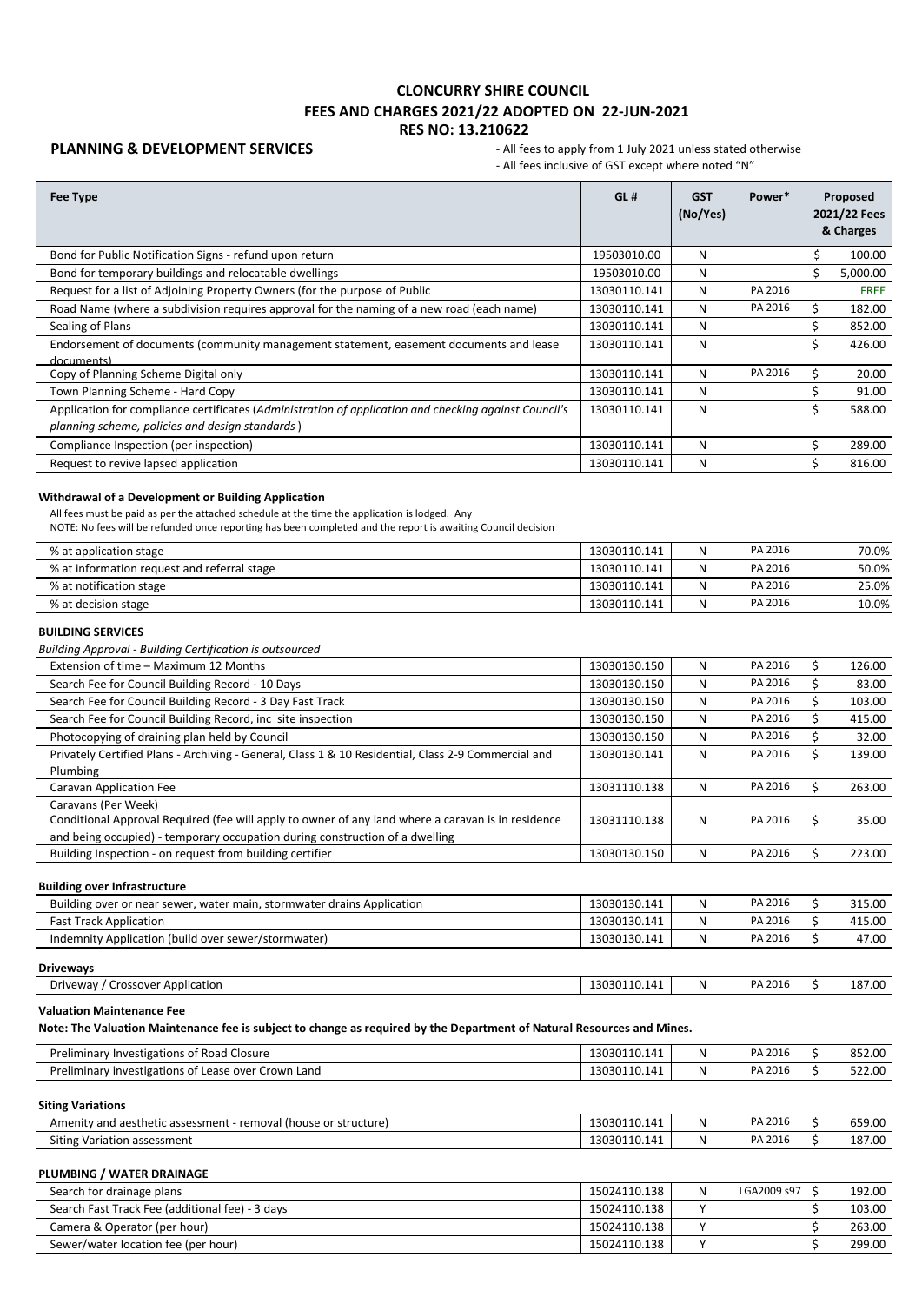**PLANNING & DEVELOPMENT SERVICES** - All fees to apply from 1 July 2021 unless stated otherwise - All fees inclusive of GST except where noted "N"

| Fee Type                                                                                                                                                 | GL#          | <b>GST</b><br>(No/Yes) | Power*  |    | Proposed<br>2021/22 Fees<br>& Charges |
|----------------------------------------------------------------------------------------------------------------------------------------------------------|--------------|------------------------|---------|----|---------------------------------------|
| Bond for Public Notification Signs - refund upon return                                                                                                  | 19503010.00  | N                      |         | \$ | 100.00                                |
| Bond for temporary buildings and relocatable dwellings                                                                                                   | 19503010.00  | N                      |         | \$ | 5,000.00                              |
| Request for a list of Adjoining Property Owners (for the purpose of Public                                                                               | 13030110.141 | N                      | PA 2016 |    | <b>FREE</b>                           |
| Road Name (where a subdivision requires approval for the naming of a new road (each name)                                                                | 13030110.141 | N                      | PA 2016 | \$ | 182.00                                |
| Sealing of Plans                                                                                                                                         | 13030110.141 | N                      |         |    | 852.00                                |
| Endorsement of documents (community management statement, easement documents and lease<br>documents)                                                     | 13030110.141 | N                      |         | \$ | 426.00                                |
| Copy of Planning Scheme Digital only                                                                                                                     | 13030110.141 | N                      | PA 2016 | \$ | 20.00                                 |
| Town Planning Scheme - Hard Copy                                                                                                                         | 13030110.141 | N                      |         | Ś  | 91.00                                 |
| Application for compliance certificates (Administration of application and checking against Council's<br>planning scheme, policies and design standards) | 13030110.141 | N                      |         | \$ | 588.00                                |
| Compliance Inspection (per inspection)                                                                                                                   | 13030110.141 | N                      |         |    | 289.00                                |
| Request to revive lapsed application                                                                                                                     | 13030110.141 | N                      |         | Ś  | 816.00                                |
|                                                                                                                                                          |              |                        |         |    |                                       |

### **Withdrawal of a Development or Building Application**

All fees must be paid as per the attached schedule at the time the application is lodged. Any

NOTE: No fees will be refunded once reporting has been completed and the report is awaiting Council decision

| % at application stage                      | 13030110.141 | N | PA 2016 | 70.0% |
|---------------------------------------------|--------------|---|---------|-------|
| % at information request and referral stage | 13030110.141 | N | PA 2016 | 50.0% |
| % at notification stage                     | 13030110.141 | N | PA 2016 | 25.0% |
| % at decision stage                         | 13030110.141 | N | PA 2016 | 10.0% |

### **BUILDING SERVICES**

*Building Approval - Building Certification is outsourced* 

| Extension of time - Maximum 12 Months                                                               | 13030130.150 | N | PA 2016 |   | 126.00 |
|-----------------------------------------------------------------------------------------------------|--------------|---|---------|---|--------|
| Search Fee for Council Building Record - 10 Days                                                    | 13030130.150 | N | PA 2016 |   | 83.00  |
| Search Fee for Council Building Record - 3 Day Fast Track                                           | 13030130.150 | N | PA 2016 |   | 103.00 |
| Search Fee for Council Building Record, inc site inspection                                         | 13030130.150 | N | PA 2016 |   | 415.00 |
| Photocopying of draining plan held by Council                                                       | 13030130.150 | N | PA 2016 |   | 32.00  |
| Privately Certified Plans - Archiving - General, Class 1 & 10 Residential, Class 2-9 Commercial and | 13030130.141 | N | PA 2016 | C | 139.00 |
| Plumbing                                                                                            |              |   |         |   |        |
| Caravan Application Fee                                                                             | 13031110.138 | N | PA 2016 |   | 263.00 |
| Caravans (Per Week)                                                                                 |              |   |         |   |        |
| Conditional Approval Required (fee will apply to owner of any land where a caravan is in residence  | 13031110.138 | N | PA 2016 | s | 35.00  |
| and being occupied) - temporary occupation during construction of a dwelling                        |              |   |         |   |        |
| Building Inspection - on request from building certifier                                            | 13030130.150 | N | PA 2016 |   | 223.00 |

### **Building over Infrastructure**

| Building over or near sewer, water main, stormwater drains Application | 13030130.141 | N | PA 2016 | 315.00 |
|------------------------------------------------------------------------|--------------|---|---------|--------|
| <b>Fast Track Application</b>                                          | 13030130.141 | N | PA 2016 | 415.00 |
| Indemnity Application (build over sewer/stormwater)                    | 13030130.141 | N | PA 2016 | 47.00  |

### **Driveways**

| Driveway<br>Application<br>Crossover | 13030110.141 | NL | PΔ<br>2016<br>$-111$ | 7.00<br>$-$<br>LO 1 |
|--------------------------------------|--------------|----|----------------------|---------------------|
|                                      |              |    |                      |                     |

### **Valuation Maintenance Fee**

**Note: The Valuation Maintenance fee is subject to change as required by the Department of Natural Resources and Mines.**

| <sup>F</sup> Road Closure<br>Preliminary<br>Thvestigations of           | 13030110.141 | Ν | PA 2016 | 852.00 |
|-------------------------------------------------------------------------|--------------|---|---------|--------|
| Preliminary<br>ı Land<br>Crown<br>' investigations of<br>· Lease over س | 13030110.141 | Ν | PA 2016 | 522.00 |

**Siting Variations**

| (house or structure)<br>Amenity and aesthetic assessment<br>removal . | 13030110.141 | PA 2016 | CEO OO<br>659.UL |
|-----------------------------------------------------------------------|--------------|---------|------------------|
| Siting Variation<br>assessment                                        | 13030110.141 | PA 2016 | 187.00           |

### **PLUMBING / WATER DRAINAGE**

| Search for drainage plans                       | 15024110.138 | N | LGA2009 s97 | 192.00 |
|-------------------------------------------------|--------------|---|-------------|--------|
| Search Fast Track Fee (additional fee) - 3 days | 15024110.138 |   |             | 103.00 |
| Camera & Operator (per hour)                    | 15024110.138 |   |             | 263.00 |
| Sewer/water location fee (per hour)             | 15024110.138 |   |             | 299.00 |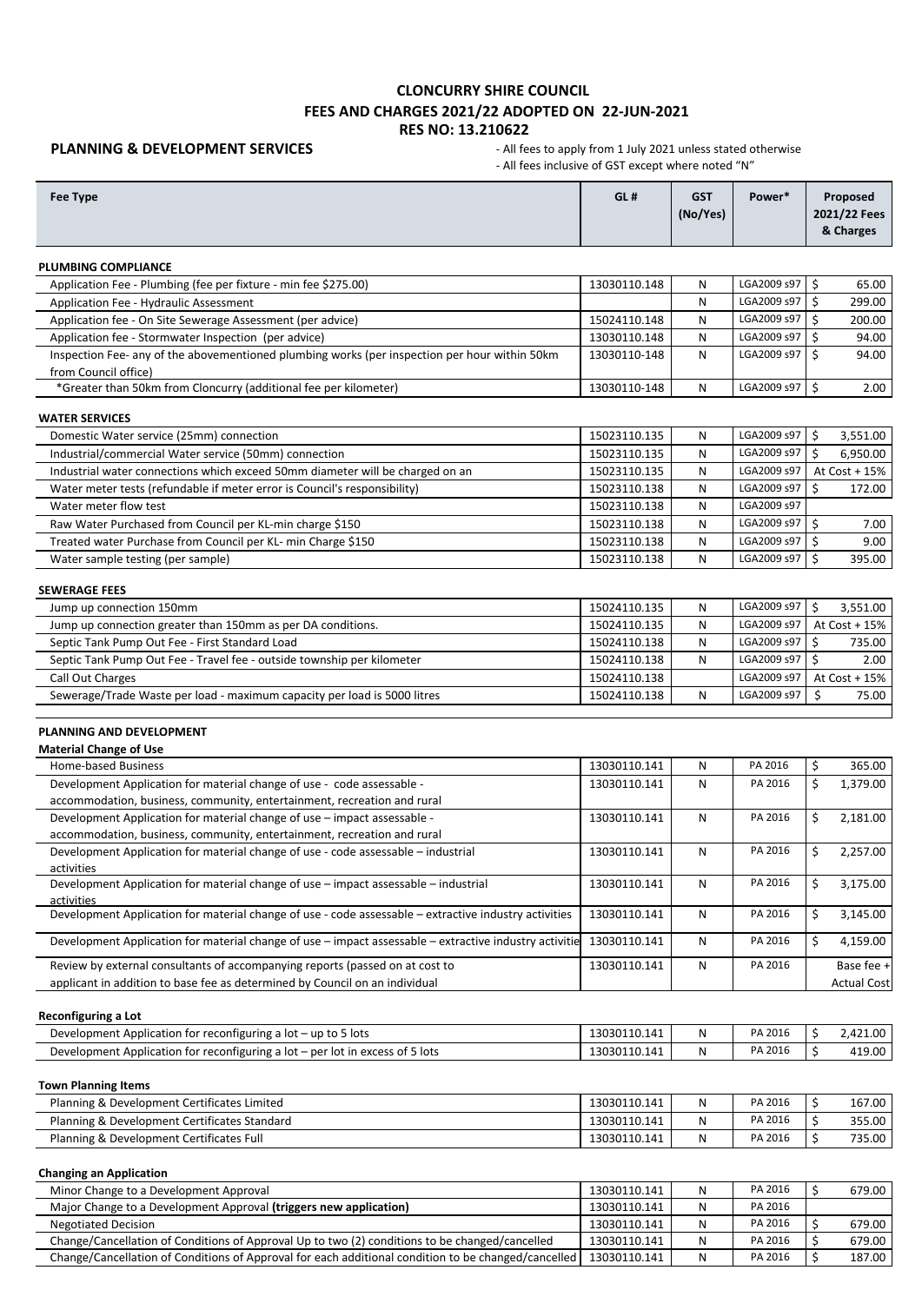**PLANNING & DEVELOPMENT SERVICES** - All fees to apply from 1 July 2021 unless stated otherwise - All fees inclusive of GST except where noted "N"

| <b>Fee Type</b>                                                                                                                                     | GL#          | <b>GST</b><br>(No/Yes) | Power*      | Proposed<br>2021/22 Fees<br>& Charges |
|-----------------------------------------------------------------------------------------------------------------------------------------------------|--------------|------------------------|-------------|---------------------------------------|
| <b>PLUMBING COMPLIANCE</b>                                                                                                                          |              |                        |             |                                       |
| Application Fee - Plumbing (fee per fixture - min fee \$275.00)                                                                                     | 13030110.148 | N                      | LGA2009 s97 | Ŝ.<br>65.00                           |
| Application Fee - Hydraulic Assessment                                                                                                              |              | N                      | LGA2009 s97 | Ś.<br>299.00                          |
| Application fee - On Site Sewerage Assessment (per advice)                                                                                          | 15024110.148 | N                      | LGA2009 s97 | \$<br>200.00                          |
| Application fee - Stormwater Inspection (per advice)                                                                                                | 13030110.148 | N                      | LGA2009 s97 | \$<br>94.00                           |
| Inspection Fee- any of the abovementioned plumbing works (per inspection per hour within 50km                                                       | 13030110-148 | N                      | LGA2009 s97 | Ś.<br>94.00                           |
| from Council office)                                                                                                                                |              |                        |             |                                       |
| *Greater than 50km from Cloncurry (additional fee per kilometer)                                                                                    | 13030110-148 | N                      | LGA2009 s97 | \$<br>2.00                            |
| <b>WATER SERVICES</b>                                                                                                                               |              |                        |             |                                       |
| Domestic Water service (25mm) connection                                                                                                            | 15023110.135 | N                      | LGA2009 s97 | \$<br>3,551.00                        |
| Industrial/commercial Water service (50mm) connection                                                                                               | 15023110.135 | N                      | LGA2009 s97 | \$<br>6,950.00                        |
| Industrial water connections which exceed 50mm diameter will be charged on an                                                                       | 15023110.135 | N                      | LGA2009 s97 | At Cost + 15%                         |
| Water meter tests (refundable if meter error is Council's responsibility)                                                                           | 15023110.138 | N                      | LGA2009 s97 | Ś.<br>172.00                          |
| Water meter flow test                                                                                                                               | 15023110.138 | N                      | LGA2009 s97 |                                       |
| Raw Water Purchased from Council per KL-min charge \$150                                                                                            | 15023110.138 | N                      | LGA2009 s97 | Ś.<br>7.00                            |
| Treated water Purchase from Council per KL- min Charge \$150                                                                                        | 15023110.138 | N                      | LGA2009 s97 | \$<br>9.00                            |
| Water sample testing (per sample)                                                                                                                   | 15023110.138 | N                      | LGA2009 s97 | Ŝ.<br>395.00                          |
| <b>SEWERAGE FEES</b>                                                                                                                                |              |                        |             |                                       |
| Jump up connection 150mm                                                                                                                            | 15024110.135 | N                      | LGA2009 s97 | \$<br>3,551.00                        |
| Jump up connection greater than 150mm as per DA conditions.                                                                                         | 15024110.135 | N                      | LGA2009 s97 | At $Cost + 15%$                       |
| Septic Tank Pump Out Fee - First Standard Load                                                                                                      | 15024110.138 | N                      | LGA2009 s97 | Ś.<br>735.00                          |
| Septic Tank Pump Out Fee - Travel fee - outside township per kilometer                                                                              | 15024110.138 | N                      | LGA2009 s97 | \$<br>2.00                            |
| Call Out Charges                                                                                                                                    | 15024110.138 |                        | LGA2009 s97 | At Cost + 15%                         |
| Sewerage/Trade Waste per load - maximum capacity per load is 5000 litres                                                                            | 15024110.138 | N                      | LGA2009 s97 | Ś.<br>75.00                           |
| PLANNING AND DEVELOPMENT<br><b>Material Change of Use</b>                                                                                           |              |                        |             |                                       |
| Home-based Business                                                                                                                                 | 13030110.141 | N                      | PA 2016     | \$<br>365.00                          |
| Development Application for material change of use - code assessable -                                                                              | 13030110.141 | N                      | PA 2016     | \$<br>1,379.00                        |
| accommodation, business, community, entertainment, recreation and rural<br>Development Application for material change of use - impact assessable - | 13030110.141 | N                      | PA 2016     | \$<br>2,181.00                        |
| accommodation, business, community, entertainment, recreation and rural                                                                             |              |                        |             |                                       |
| Development Application for material change of use - code assessable - industrial                                                                   | 13030110.141 | N                      | PA 2016     | \$<br>2,257.00                        |
| activities                                                                                                                                          |              |                        |             |                                       |
| Development Application for material change of use - impact assessable - industrial                                                                 | 13030110.141 | N                      | PA 2016     | \$<br>3,175.00                        |
| activities<br>Development Application for material change of use - code assessable - extractive industry activities                                 | 13030110.141 | N                      | PA 2016     | \$<br>3,145.00                        |
| Development Application for material change of use - impact assessable - extractive industry activitie                                              | 13030110.141 | N                      | PA 2016     | \$<br>4,159.00                        |
|                                                                                                                                                     |              |                        |             |                                       |
| Review by external consultants of accompanying reports (passed on at cost to                                                                        | 13030110.141 | N                      | PA 2016     | Base fee +                            |
| applicant in addition to base fee as determined by Council on an individual                                                                         |              |                        |             | <b>Actual Cost</b>                    |
| <b>Reconfiguring a Lot</b>                                                                                                                          |              |                        |             |                                       |
| Development Application for reconfiguring a lot - up to 5 lots                                                                                      | 13030110.141 | Ν                      | PA 2016     | \$<br>2,421.00                        |
| Development Application for reconfiguring a lot - per lot in excess of 5 lots                                                                       | 13030110.141 | N                      | PA 2016     | \$<br>419.00                          |
| <b>Town Planning Items</b>                                                                                                                          |              |                        |             |                                       |
| Planning & Development Certificates Limited                                                                                                         | 13030110.141 | N                      | PA 2016     | \$<br>167.00                          |
| Planning & Development Certificates Standard                                                                                                        | 13030110.141 | N                      | PA 2016     | \$<br>355.00                          |
| Planning & Development Certificates Full                                                                                                            | 13030110.141 | N                      | PA 2016     | \$<br>735.00                          |
| <b>Changing an Application</b>                                                                                                                      |              |                        |             |                                       |
| Minor Change to a Development Approval                                                                                                              | 13030110.141 | N                      | PA 2016     | \$<br>679.00                          |
| Major Change to a Development Approval (triggers new application)                                                                                   | 13030110.141 | Ν                      | PA 2016     |                                       |
| <b>Negotiated Decision</b>                                                                                                                          | 13030110.141 | Ν                      | PA 2016     | \$<br>679.00                          |
| Change/Cancellation of Conditions of Approval Up to two (2) conditions to be changed/cancelled                                                      | 13030110.141 | N                      | PA 2016     | \$<br>679.00                          |

Change/Cancellation of Conditions of Approval for each additional condition to be changed/cancelled | 13030110.141 | N | PA 2016 | \$ 187.00